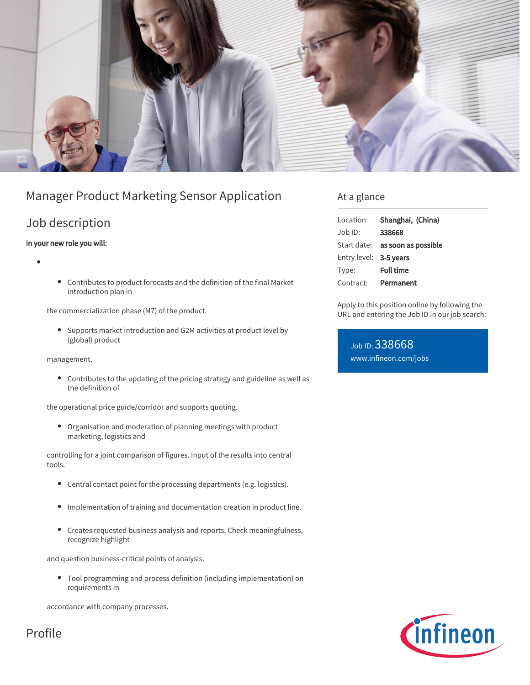

# Manager Product Marketing Sensor Application

## Job description

### In your new role you will:

- 
- Contributes to product forecasts and the definition of the final Market introduction plan in

the commercialization phase (M7) of the product.

Supports market introduction and G2M activities at product level by (global) product

management.

Contributes to the updating of the pricing strategy and guideline as well as the definition of

the operational price guide/corridor and supports quoting.

 $\bullet$ Organisation and moderation of planning meetings with product marketing, logistics and

controlling for a joint comparison of figures. Input of the results into central tools.

- Central contact point for the processing departments (e.g. logistics).
- Implementation of training and documentation creation in product line.
- $\bullet$ Creates requested business analysis and reports. Check meaningfulness, recognize highlight

and question business-critical points of analysis.

Tool programming and process definition (including implementation) on requirements in

accordance with company processes.

# Profile

### At a glance

| Location:              | Shanghai, (China)                      |
|------------------------|----------------------------------------|
| $Job$ ID:              | 338668                                 |
|                        | Start date: <b>as soon as possible</b> |
| Entry level: 3-5 years |                                        |
| Type:                  | <b>Full time</b>                       |
| Contract:              | Permanent                              |

Apply to this position online by following the URL and entering the Job ID in our job search:

Job ID: 338668 [www.infineon.com/jobs](https://www.infineon.com/jobs)